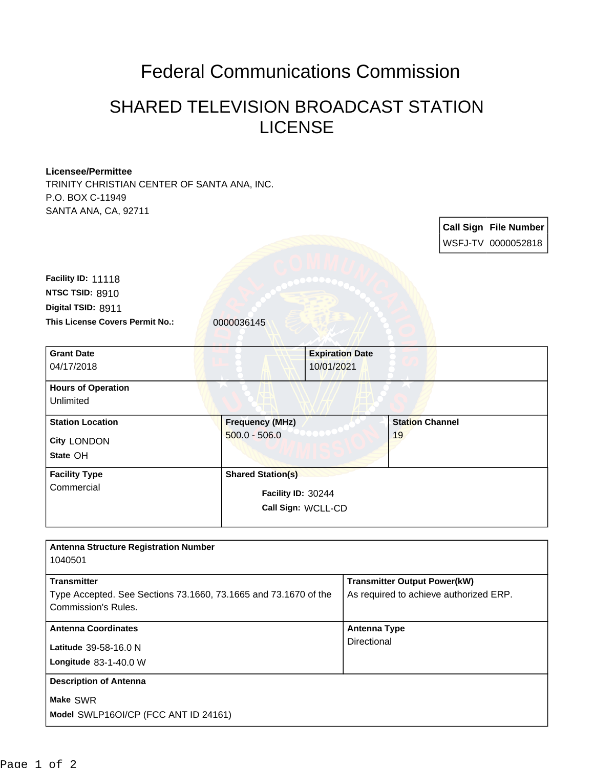## Federal Communications Commission

## SHARED TELEVISION BROADCAST STATION LICENSE

## **Licensee/Permittee**

TRINITY CHRISTIAN CENTER OF SANTA ANA, INC. P.O. BOX C-11949 SANTA ANA, CA, 92711

**Call Sign File Number** WSFJ-TV 0000052818 This License Covers Permit No.: 0000036145 **Digital TSID:** 8911 **NTSC TSID:** 8910 **Facility ID:** 11118 **Call Sign:** WCLL-CD **Facility ID:** 30244 **State** OH **City** LONDON **Grant Date** 04/17/2018 **Expiration Date** 10/01/2021 **Hours of Operation** Unlimited **Station Location Frequency (MHz)** 500.0 - 506.0 **Station Channel** 19 **Facility Type Commercial Shared Station(s) Antenna Structure Registration Number** 

| Allelling Structure Registration Number<br>1040501                                                                  |                                                                               |
|---------------------------------------------------------------------------------------------------------------------|-------------------------------------------------------------------------------|
| <b>Transmitter</b><br>Type Accepted. See Sections 73.1660, 73.1665 and 73.1670 of the<br><b>Commission's Rules.</b> | <b>Transmitter Output Power(kW)</b><br>As required to achieve authorized ERP. |
| <b>Antenna Coordinates</b><br>Latitude 39-58-16.0 N<br>Longitude 83-1-40.0 W                                        | <b>Antenna Type</b><br>Directional                                            |
| <b>Description of Antenna</b><br>Make SWR<br>Model SWLP16OI/CP (FCC ANT ID 24161)                                   |                                                                               |